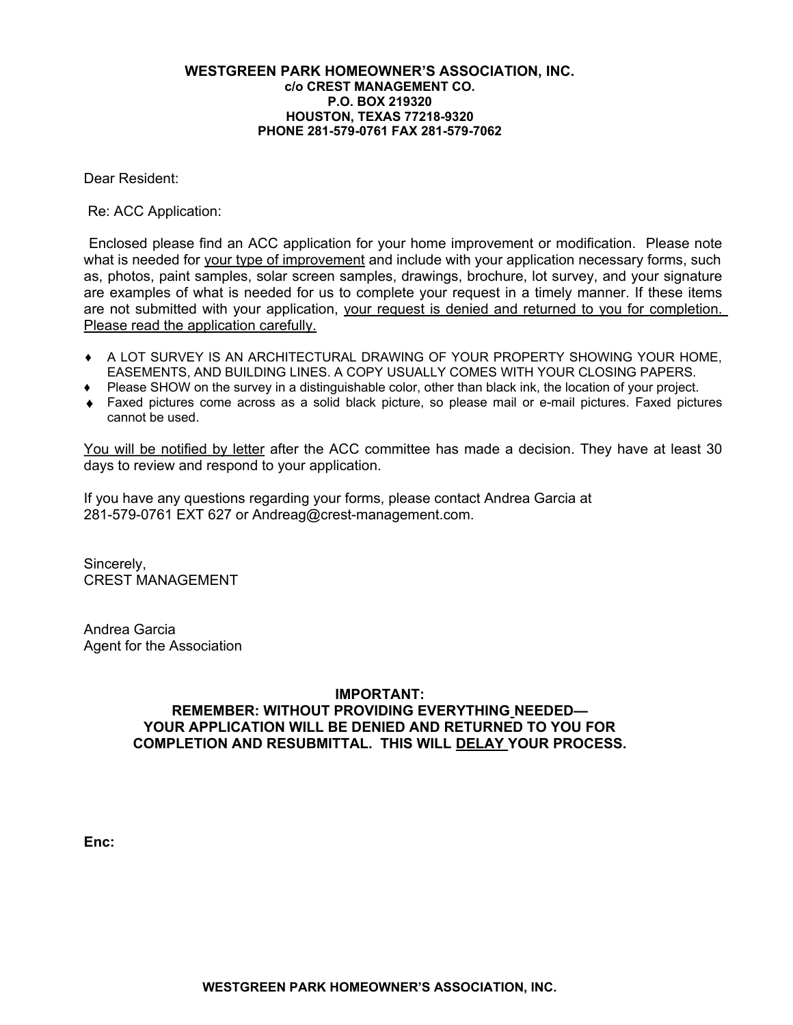### **WESTGREEN PARK HOMEOWNER'S ASSOCIATION, INC. c/o CREST MANAGEMENT CO. P.O. BOX 219320 HOUSTON, TEXAS 77218-9320 PHONE 281-579-0761 FAX 281-579-7062**

Dear Resident:

Re: ACC Application:

 Enclosed please find an ACC application for your home improvement or modification. Please note what is needed for your type of improvement and include with your application necessary forms, such as, photos, paint samples, solar screen samples, drawings, brochure, lot survey, and your signature are examples of what is needed for us to complete your request in a timely manner. If these items are not submitted with your application, your request is denied and returned to you for completion. Please read the application carefully.

- ♦ A LOT SURVEY IS AN ARCHITECTURAL DRAWING OF YOUR PROPERTY SHOWING YOUR HOME, EASEMENTS, AND BUILDING LINES. A COPY USUALLY COMES WITH YOUR CLOSING PAPERS.
- Please SHOW on the survey in a distinguishable color, other than black ink, the location of your project.
- ♦ Faxed pictures come across as a solid black picture, so please mail or e-mail pictures. Faxed pictures cannot be used.

You will be notified by letter after the ACC committee has made a decision. They have at least 30 days to review and respond to your application.

If you have any questions regarding your forms, please contact Andrea Garcia at 281-579-0761 EXT 627 or Andreag@crest-management.com.

Sincerely, CREST MANAGEMENT

Andrea Garcia Agent for the Association

## **IMPORTANT:**

## **REMEMBER: WITHOUT PROVIDING EVERYTHING NEEDED— YOUR APPLICATION WILL BE DENIED AND RETURNED TO YOU FOR COMPLETION AND RESUBMITTAL. THIS WILL DELAY YOUR PROCESS.**

**Enc:**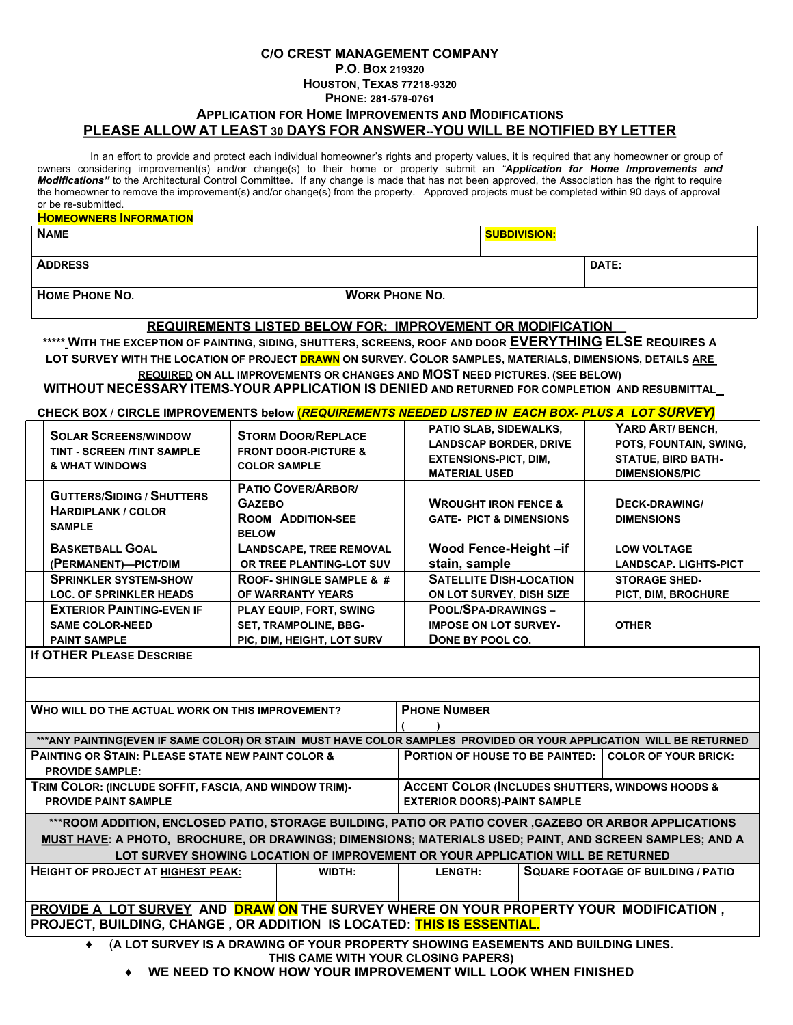#### **C/O CREST MANAGEMENT COMPANY**

**P.O. BOX 219320**

**HOUSTON, TEXAS 77218-9320**

**PHONE: 281-579-0761**

## **APPLICATION FOR HOME IMPROVEMENTS AND MODIFICATIONS**

## **PLEASE ALLOW AT LEAST 30 DAYS FOR ANSWER--YOU WILL BE NOTIFIED BY LETTER**

 In an effort to provide and protect each individual homeowner's rights and property values, it is required that any homeowner or group of owners considering improvement(s) and/or change(s) to their home or property submit an *"Application for Home Improvements and Modifications"* to the Architectural Control Committee. If any change is made that has not been approved, the Association has the right to require the homeowner to remove the improvement(s) and/or change(s) from the property. Approved projects must be completed within 90 days of approval or be re-submitted.

#### **HOMEOWNERS INFORMATION**

| <b>NAME</b>           |                       | SUBDIVISION: |       |
|-----------------------|-----------------------|--------------|-------|
| <b>ADDRESS</b>        |                       |              | DATE: |
| <b>HOME PHONE NO.</b> | <b>WORK PHONE NO.</b> |              |       |

#### **REQUIREMENTS LISTED BELOW FOR: IMPROVEMENT OR MODIFICATION**

**\*\*\*\*\* WITH THE EXCEPTION OF PAINTING, SIDING, SHUTTERS, SCREENS, ROOF AND DOOR EVERYTHING ELSE REQUIRES A** LOT SURVEY WITH THE LOCATION OF PROJECT <mark>DRAWN</mark> ON SURVEY. COLOR SAMPLES, MATERIALS, DIMENSIONS, DETAILS ARE **REQUIRED ON ALL IMPROVEMENTS OR CHANGES AND MOST NEED PICTURES. (SEE BELOW)**

**WITHOUT NECESSARY ITEMS-YOUR APPLICATION IS DENIED AND RETURNED FOR COMPLETION AND RESUBMITTAL**

#### **CHECK BOX** / **CIRCLE IMPROVEMENTS below (***REQUIREMENTS NEEDED LISTED IN EACH BOX- PLUS A LOT SURVEY)*

| <b>SOLAR SCREENS/WINDOW</b><br><b>TINT - SCREEN /TINT SAMPLE</b><br><b>&amp; WHAT WINDOWS</b> | <b>STORM DOOR/REPLACE</b><br><b>FRONT DOOR-PICTURE &amp;</b><br><b>COLOR SAMPLE</b>    | <b>PATIO SLAB, SIDEWALKS,</b><br><b>LANDSCAP BORDER, DRIVE</b><br><b>EXTENSIONS-PICT, DIM,</b><br><b>MATERIAL USED</b> | YARD ART/ BENCH,<br>POTS, FOUNTAIN, SWING,<br><b>STATUE, BIRD BATH-</b><br><b>DIMENSIONS/PIC</b> |
|-----------------------------------------------------------------------------------------------|----------------------------------------------------------------------------------------|------------------------------------------------------------------------------------------------------------------------|--------------------------------------------------------------------------------------------------|
| <b>GUTTERS/SIDING / SHUTTERS</b><br><b>HARDIPLANK / COLOR</b><br><b>SAMPLE</b>                | <b>PATIO COVER/ARBOR/</b><br><b>GAZEBO</b><br><b>ROOM ADDITION-SEE</b><br><b>BELOW</b> | <b>WROUGHT IRON FENCE &amp;</b><br><b>GATE- PICT &amp; DIMENSIONS</b>                                                  | DECK-DRAWING/<br><b>DIMENSIONS</b>                                                               |
| <b>BASKETBALL GOAL</b>                                                                        | <b>LANDSCAPE, TREE REMOVAL</b>                                                         | Wood Fence-Height-if                                                                                                   | <b>LOW VOLTAGE</b>                                                                               |
| (PERMANENT)-PICT/DIM                                                                          | OR TREE PLANTING-LOT SUV                                                               | stain, sample                                                                                                          | <b>LANDSCAP. LIGHTS-PICT</b>                                                                     |
| <b>SPRINKLER SYSTEM-SHOW</b>                                                                  | <b>ROOF-SHINGLE SAMPLE &amp; #</b>                                                     | <b>SATELLITE DISH-LOCATION</b>                                                                                         | <b>STORAGE SHED-</b>                                                                             |
| <b>LOC. OF SPRINKLER HEADS</b>                                                                | OF WARRANTY YEARS                                                                      | ON LOT SURVEY, DISH SIZE                                                                                               | PICT, DIM, BROCHURE                                                                              |
| <b>EXTERIOR PAINTING-EVEN IF</b>                                                              | PLAY EQUIP, FORT, SWING                                                                | POOL/SPA-DRAWINGS-                                                                                                     |                                                                                                  |
| <b>SAME COLOR-NEED</b>                                                                        | <b>SET. TRAMPOLINE, BBG-</b>                                                           | <b>IMPOSE ON LOT SURVEY-</b>                                                                                           | <b>OTHER</b>                                                                                     |
| <b>PAINT SAMPLE</b>                                                                           | PIC. DIM. HEIGHT. LOT SURV                                                             | DONE BY POOL CO.                                                                                                       |                                                                                                  |

**If OTHER PLEASE DESCRIBE** 

| WHO WILL DO THE ACTUAL WORK ON THIS IMPROVEMENT?                                                                                   |        | <b>PHONE NUMBER</b>                                         |  |                                                             |
|------------------------------------------------------------------------------------------------------------------------------------|--------|-------------------------------------------------------------|--|-------------------------------------------------------------|
|                                                                                                                                    |        |                                                             |  |                                                             |
| ***ANY PAINTING(EVEN IF SAME COLOR) OR STAIN MUST HAVE COLOR SAMPLES PROVIDED OR YOUR APPLICATION WILL BE RETURNED                 |        |                                                             |  |                                                             |
| <b>PAINTING OR STAIN: PLEASE STATE NEW PAINT COLOR &amp;</b>                                                                       |        |                                                             |  | <b>PORTION OF HOUSE TO BE PAINTED: COLOR OF YOUR BRICK:</b> |
| <b>PROVIDE SAMPLE:</b>                                                                                                             |        |                                                             |  |                                                             |
| TRIM COLOR: (INCLUDE SOFFIT, FASCIA, AND WINDOW TRIM)-                                                                             |        | <b>ACCENT COLOR (INCLUDES SHUTTERS, WINDOWS HOODS &amp;</b> |  |                                                             |
| <b>PROVIDE PAINT SAMPLE</b>                                                                                                        |        | <b>EXTERIOR DOORS)-PAINT SAMPLE</b>                         |  |                                                             |
| GAZEBO OR ARBOR APPLICATIONS: "ROOM ADDITION, ENCLOSED PATIO, STORAGE BUILDING, PATIO OR PATIO COVER, GAZEBO OR ARBOR APPLICATIONS |        |                                                             |  |                                                             |
| MUST HAVE: A PHOTO, BROCHURE, OR DRAWINGS; DIMENSIONS; MATERIALS USED; PAINT, AND SCREEN SAMPLES; AND A                            |        |                                                             |  |                                                             |
| LOT SURVEY SHOWING LOCATION OF IMPROVEMENT OR YOUR APPLICATION WILL BE RETURNED                                                    |        |                                                             |  |                                                             |
| <b>HEIGHT OF PROJECT AT HIGHEST PEAK:</b>                                                                                          | WIDTH: | <b>LENGTH:</b>                                              |  | <b>SQUARE FOOTAGE OF BUILDING / PATIO</b>                   |
|                                                                                                                                    |        |                                                             |  |                                                             |
| PROVIDE A LOT SURVEY AND DRAW ON THE SURVEY WHERE ON YOUR PROPERTY YOUR MODIFICATION,                                              |        |                                                             |  |                                                             |
| PROJECT, BUILDING, CHANGE, OR ADDITION IS LOCATED: THIS IS ESSENTIAL.                                                              |        |                                                             |  |                                                             |
| A LA LAT CURVEVIC A RRAMINA AF VAUR RRAPERTY CUAMNA FACEMENTS AND BUILDINA LINES                                                   |        |                                                             |  |                                                             |

♦ (**A LOT SURVEY IS A DRAWING OF YOUR PROPERTY SHOWING EASEMENTS AND BUILDING LINES. THIS CAME WITH YOUR CLOSING PAPERS)**

WE NEED TO KNOW HOW YOUR IMPROVEMENT WILL LOOK WHEN FINISHED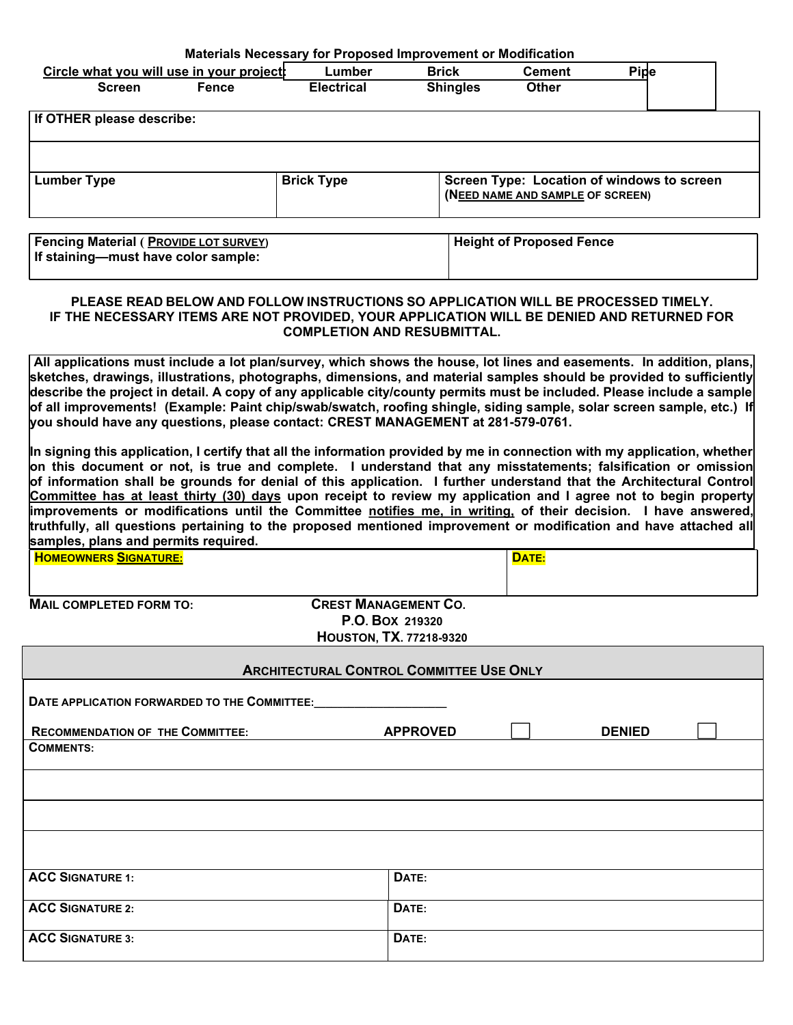**Materials Necessary for Proposed Improvement or Modification**

| Circle what you will use in your project |       | Lumber            | <b>Brick</b>                                                                   | <b>Cement</b> | Pipe |  |
|------------------------------------------|-------|-------------------|--------------------------------------------------------------------------------|---------------|------|--|
| <b>Screen</b>                            | Fence | <b>Electrical</b> | <b>Shingles</b>                                                                | <b>Other</b>  |      |  |
|                                          |       |                   |                                                                                |               |      |  |
| If OTHER please describe:                |       |                   |                                                                                |               |      |  |
|                                          |       |                   |                                                                                |               |      |  |
|                                          |       |                   |                                                                                |               |      |  |
| <b>Lumber Type</b>                       |       | <b>Brick Type</b> | Screen Type: Location of windows to screen<br>(NEED NAME AND SAMPLE OF SCREEN) |               |      |  |
|                                          |       |                   |                                                                                |               |      |  |
|                                          |       |                   |                                                                                |               |      |  |
| .<br>-- - - - - -                        |       |                   | .                                                                              |               |      |  |

**Fencing Material ( PROVIDE LOT SURVEY) If staining—must have color sample:**

**Height of Proposed Fence**

## **PLEASE READ BELOW AND FOLLOW INSTRUCTIONS SO APPLICATION WILL BE PROCESSED TIMELY. IF THE NECESSARY ITEMS ARE NOT PROVIDED, YOUR APPLICATION WILL BE DENIED AND RETURNED FOR COMPLETION AND RESUBMITTAL.**

 **All applications must include a lot plan/survey, which shows the house, lot lines and easements. In addition, plans, sketches, drawings, illustrations, photographs, dimensions, and material samples should be provided to sufficiently describe the project in detail. A copy of any applicable city/county permits must be included. Please include a sample of all improvements! (Example: Paint chip/swab/swatch, roofing shingle, siding sample, solar screen sample, etc.) If you should have any questions, please contact: CREST MANAGEMENT at 281-579-0761.**

**In signing this application, I certify that all the information provided by me in connection with my application, whether on this document or not, is true and complete. I understand that any misstatements; falsification or omission of information shall be grounds for denial of this application. I further understand that the Architectural Control Committee has at least thirty (30) days upon receipt to review my application and I agree not to begin property improvements or modifications until the Committee notifies me, in writing, of their decision. I have answered, truthfully, all questions pertaining to the proposed mentioned improvement or modification and have attached all samples, plans and permits required.**

| <u>  HOMEOWNERS SIGNATURE:</u> |                             | DATE: |  |
|--------------------------------|-----------------------------|-------|--|
|                                |                             |       |  |
| <b>MAIL COMPLETED FORM TO:</b> | <b>CREST MANAGEMENT CO.</b> |       |  |
|                                | P.O. BOX 219320             |       |  |
|                                |                             |       |  |

**HOUSTON, TX. 77218-9320 ARCHITECTURAL CONTROL COMMITTEE USE ONLY DATE APPLICATION FORWARDED TO THE COMMITTEE:\_\_\_\_\_\_\_\_\_\_\_\_\_\_\_\_\_\_\_\_\_\_\_ RECOMMENDATION OF THE COMMITTEE: APPROVED DENIED**

| <b>COMMENTS:</b>        |       |  |
|-------------------------|-------|--|
|                         |       |  |
|                         |       |  |
|                         |       |  |
| <b>ACC SIGNATURE 1:</b> | DATE: |  |
| <b>ACC SIGNATURE 2:</b> | DATE: |  |
| <b>ACC SIGNATURE 3:</b> |       |  |